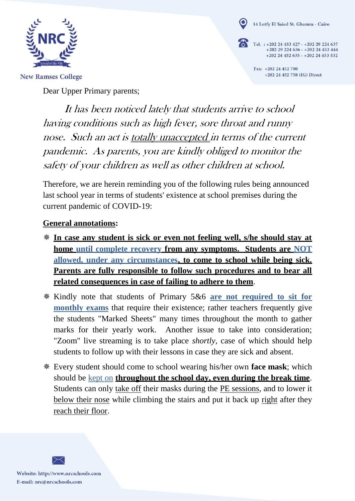

14 Lotfy El Saied St. Ghamra - Cairo

Tel. : +202 24 453 427 - +202 29 224 637 +202 29 224 636 - +202 24 453 444  $+202$  24 452 635 -  $+202$  24 453 532

> Fax: +202 24 452 700 +202 24 452 758 (IG) Direct

**New Ramses College** 

Dear Upper Primary parents;

It has been noticed lately that students arrive to school having conditions such as high fever, sore throat and runny nose. Such an act is totally unaccepted in terms of the current pandemic. As parents, you are kindly obliged to monitor the safety of your children as well as other children at school.

Therefore, we are herein reminding you of the following rules being announced last school year in terms of students' existence at school premises during the current pandemic of COVID-19:

## **General annotations:**

- **In case any student is sick or even not feeling well, s/he should stay at home until complete recovery from any symptoms. Students are NOT allowed, under any circumstances, to come to school while being sick. Parents are fully responsible to follow such procedures and to bear all related consequences in case of failing to adhere to them**.
- Kindly note that students of Primary 5&6 **are not required to sit for monthly exams** that require their existence; rather teachers frequently give the students "Marked Sheets" many times throughout the month to gather marks for their yearly work. Another issue to take into consideration; "Zoom" live streaming is to take place *shortly*, case of which should help students to follow up with their lessons in case they are sick and absent.
- Every student should come to school wearing his/her own **face mask**; which should be kept on **throughout the school day, even during the break time**. Students can only take off their masks during the PE sessions, and to lower it below their nose while climbing the stairs and put it back up right after they reach their floor.

Website: http://www.nrcschools.com E-mail: nrc@nrcschools.com